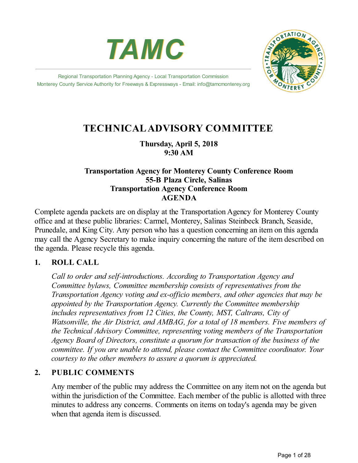



Regional Transportation Planning Agency - Local Transportation Commission Monterey County Service Authority for Freeways & Expressways - Email: info@tamcmonterey.org

# **TECHNICALADVISORY COMMITTEE**

## **Thursday, April 5, 2018 9:30 AM**

## **Transportation Agency for Monterey County Conference Room 55-B Plaza Circle, Salinas Transportation Agency Conference Room AGENDA**

Complete agenda packets are on display at the Transportation Agency for Monterey County office and at these public libraries: Carmel, Monterey, Salinas Steinbeck Branch, Seaside, Prunedale, and King City. Any person who has a question concerning an item on this agenda may call the Agency Secretary to make inquiry concerning the nature of the item described on the agenda. Please recycle this agenda.

## **1. ROLL CALL**

*Call to order and self-introductions. According to Transportation Agency and Committee bylaws, Committee membership consists of representatives from the Transportation Agency voting and ex-of icio members, and other agencies that may be appointed by the Transportation Agency. Currently the Committee membership includes representatives from 12 Cities, the County, MST, Caltrans, City of Watsonville, the Air District, and AMBAG, for a total of 18 members. Five members of the Technical Advisory Committee, representing voting members of the Transportation Agency Board of Directors, constitute a quorum for transaction of the business of the committee. If you are unable to attend, please contact the Committee coordinator. Your courtesy to the other members to assure a quorum is appreciated.*

## **2. PUBLIC COMMENTS**

Any member of the public may address the Committee on any item not on the agenda but within the jurisdiction of the Committee. Each member of the public is allotted with three minutes to address any concerns. Comments on items on today's agenda may be given when that agenda item is discussed.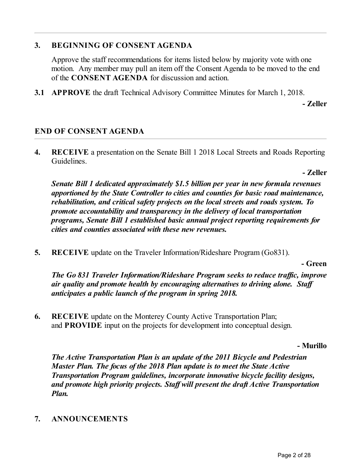## **3. BEGINNING OF CONSENT AGENDA**

Approve the staff recommendations for items listed below by majority vote with one motion. Any member may pull an item off the Consent Agenda to be moved to the end of the **CONSENT AGENDA** for discussion and action.

**3.1 APPROVE** the draft Technical Advisory Committee Minutes for March 1, 2018.

**- Zeller**

## **END OF CONSENT AGENDA**

**4. RECEIVE** a presentation on the Senate Bill 1 2018 Local Streets and Roads Reporting Guidelines.

**- Zeller**

*Senate Bill 1 dedicated approximately \$1.5 billion per year in new formula revenues apportioned by the State Controller to cities and counties for basic road maintenance, rehabilitation, and critical safety projects on the local streets and roads system. To promote accountability and transparency in the delivery of local transportation programs, Senate Bill 1 established basic annual project reporting requirements for cities and counties associated with these new revenues.*

**5. RECEIVE** update on the Traveler Information/Rideshare Program (Go831).

**- Green**

*The* Go 831 *Traveler Information/Rideshare Program seeks to reduce traffic, improve air quality and promote health by encouraging alternatives to driving alone. Staf anticipates a public launch of the program in spring 2018.*

**6. RECEIVE** update on the Monterey County Active Transportation Plan; and **PROVIDE** input on the projects for development into conceptual design.

### **- Murillo**

*The Active Transportation Plan is an update of the 2011 Bicycle and Pedestrian Master Plan. The focus of the 2018 Plan update is to meet the State Active Transportation Program guidelines, incorporate innovative bicycle facility designs, and promote high priority projects. Staf will present the draft Active Transportation Plan.*

**7. ANNOUNCEMENTS**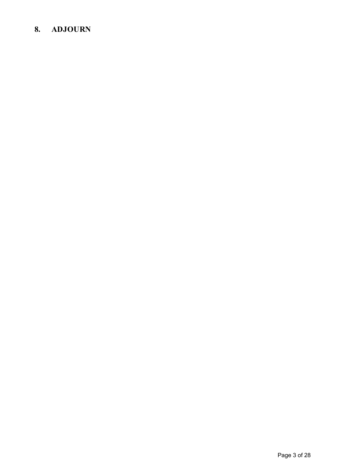# **8. ADJOURN**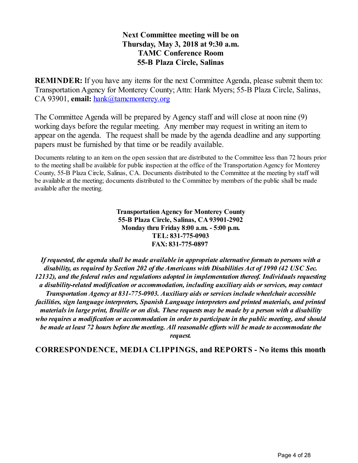## **Next Committee meeting will be on Thursday, May 3, 2018 at 9:30 a.m. TAMC Conference Room 55-B Plaza Circle, Salinas**

**REMINDER:** If you have any items for the next Committee Agenda, please submit them to: Transportation Agency for Monterey County; Attn: Hank Myers; 55-B Plaza Circle, Salinas, CA 93901, email: [hank@tamcmonterey.org](mailto:hank@tamcmonterey.org)

The Committee Agenda will be prepared by Agency staff and will close at noon nine (9) working days before the regular meeting. Any member may request in writing an item to appear on the agenda. The request shall be made by the agenda deadline and any supporting papers must be furnished by that time or be readily available.

Documents relating to an item on the open session that are distributed to the Committee less than 72 hours prior to the meeting shall be available for public inspection at the office of the Transportation Agency for Monterey County, 55-B Plaza Circle, Salinas, CA. Documents distributed to the Committee at the meeting by staff will be available at the meeting; documents distributed to the Committee by members of the public shall be made available after the meeting.

> **TransportationAgency for Monterey County 55-B Plaza Circle, Salinas, CA93901-2902 Monday thru Friday 8:00 a.m. - 5:00 p.m. TEL: 831-775-0903 FAX: 831-775-0897**

*If requested, the agenda shall be made availablein appropriate alternativeformats to persons with a disability, as required by Section 202 of the Americans with Disabilities Act of 1990 (42 USC Sec. 12132), and thefederal rules and regulations adopted in implementation thereof. Individuals requesting a disability-related modification or accommodation, including auxiliary aids or services, maycontact Transportation Agency at 831-775-0903. Auxiliary aids or services include wheelchair accessible facilities, sign languageinterpreters, Spanish Languageinterpreters and printed materials, and printed* materials in large print, Braille or on disk. These requests may be made by a person with a disability *who requires a modification or accommodation in order to participatein the public meeting, and should be* made at least 72 hours before the meeting. All reasonable efforts will be made to accommodate the *request.*

**CORRESPONDENCE, MEDIA CLIPPINGS, and REPORTS - No items this month**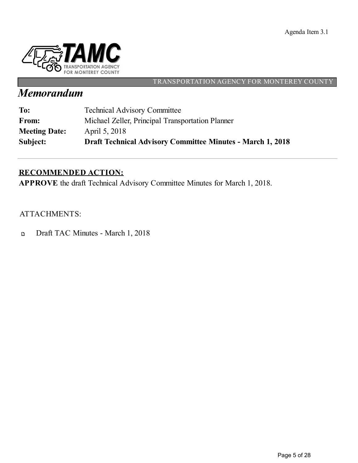Agenda Item 3.1



### TRANSPORTATION AGENCY FOR MONTEREY COUNTY

# *Memorandum*

| Subject:             | <b>Draft Technical Advisory Committee Minutes - March 1, 2018</b> |
|----------------------|-------------------------------------------------------------------|
| <b>Meeting Date:</b> | April 5, 2018                                                     |
| From:                | Michael Zeller, Principal Transportation Planner                  |
| To:                  | <b>Technical Advisory Committee</b>                               |

# **RECOMMENDED ACTION:**

**APPROVE** the draft Technical Advisory Committee Minutes for March 1, 2018.

ATTACHMENTS:

Draft TAC Minutes - March 1, 2018  $\Box$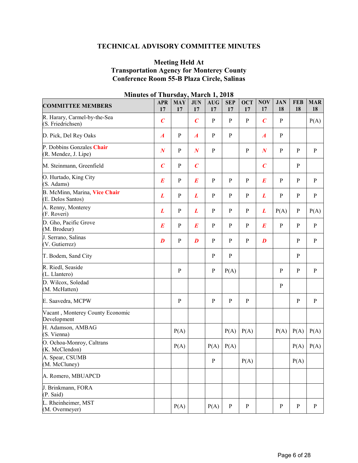## **TECHNICAL ADVISORY COMMITTEE MINUTES**

### **Meeting Held At Transportation Agency for Monterey County Conference Room 55-B Plaza Circle, Salinas**

| <b>COMMITTEE MEMBERS</b>                           | <b>APR</b><br>17 | <b>MAY</b><br>17 | <b>JUN</b><br>17 | $A\overline{U}G$<br>17 | <b>SEP</b><br>17 | <b>OCT</b><br>17 | <b>NOV</b><br>17 | <b>JAN</b><br>18 | <b>FEB</b><br>18 | <b>MAR</b><br>18 |
|----------------------------------------------------|------------------|------------------|------------------|------------------------|------------------|------------------|------------------|------------------|------------------|------------------|
| R. Harary, Carmel-by-the-Sea<br>(S. Friedrichsen)  | $\boldsymbol{C}$ |                  | $\boldsymbol{C}$ | ${\bf P}$              | $\mathbf{P}$     | $\, {\bf P}$     | $\boldsymbol{C}$ | $\mathbf{P}$     |                  | P(A)             |
| D. Pick, Del Rey Oaks                              | $\boldsymbol{A}$ | $\, {\bf P}$     | $\boldsymbol{A}$ | $\mathbf{P}$           | ${\bf P}$        |                  | $\boldsymbol{A}$ | $\mathbf{P}$     |                  |                  |
| P. Dobbins Gonzales Chair<br>(R. Mendez, J. Lipe)  | $\boldsymbol{N}$ | $\, {\bf p}$     | $\boldsymbol{N}$ | $\mathbf{P}$           |                  | $\overline{P}$   | $\boldsymbol{N}$ | $\mathbf{P}$     | P                | $\mathbf{P}$     |
| M. Steinmann, Greenfield                           | $\overline{C}$   | $\mathbf{P}$     | $\boldsymbol{C}$ |                        |                  |                  | $\boldsymbol{C}$ |                  | $\, {\bf p}$     |                  |
| O. Hurtado, King City<br>(S. Adams)                | $\boldsymbol{E}$ | $\, {\bf p}$     | $\boldsymbol{E}$ | ${\bf P}$              | ${\bf P}$        | $\, {\bf P}$     | $\bm E$          | $\mathbf{P}$     | $\, {\bf p}$     | $\, {\bf P}$     |
| B. McMinn, Marina, Vice Chair<br>(E. Delos Santos) | $\boldsymbol{L}$ | $\mathbf{P}$     | $\boldsymbol{L}$ | $\mathbf{P}$           | ${\bf P}$        | $\mathbf{P}$     | L                | ${\bf P}$        | $\, {\bf P}$     | $\, {\bf P}$     |
| A. Renny, Monterey<br>(F. Roveri)                  | L                | $\mathbf{P}$     | L                | $\mathbf{P}$           | $\mathbf{P}$     | $\, {\bf P}$     | L                | P(A)             | $\, {\bf p}$     | P(A)             |
| D. Gho, Pacific Grove<br>(M. Brodeur)              | $\boldsymbol{E}$ | $\mathbf{P}$     | $\boldsymbol{E}$ | ${\bf P}$              | $\mathbf{P}$     | $\, {\bf P}$     | $\bm E$          | $\mathbf{P}$     | P                | $\, {\bf P}$     |
| J. Serrano, Salinas<br>(V. Gutierrez)              | $\boldsymbol{D}$ | $\, {\bf P}$     | $\boldsymbol{D}$ | $\mathbf{P}$           | P                | ${\bf P}$        | $\boldsymbol{D}$ |                  | $\mathbf{P}$     | $\mathbf{P}$     |
| T. Bodem, Sand City                                |                  |                  |                  | $\mathbf{P}$           | ${\bf P}$        |                  |                  |                  | $\mathbf{P}$     |                  |
| R. Riedl, Seaside<br>(L. Llantero)                 |                  | $\mathbf{P}$     |                  | ${\bf P}$              | P(A)             |                  |                  | $\mathbf{P}$     | P                | $\mathbf{P}$     |
| D. Wilcox, Soledad<br>(M. McHatten)                |                  |                  |                  |                        |                  |                  |                  | $\, {\bf p}$     |                  |                  |
| E. Saavedra, MCPW                                  |                  | $\, {\bf p}$     |                  | $\mathbf{P}$           | ${\bf P}$        | $\, {\bf p}$     |                  |                  | $\mathbf{P}$     | $\, {\bf P}$     |
| Vacant, Monterey County Economic<br>Development    |                  |                  |                  |                        |                  |                  |                  |                  |                  |                  |
| H. Adamson, AMBAG<br>(S. Vienna)                   |                  | P(A)             |                  |                        | P(A)             | P(A)             |                  | P(A)             | P(A)             | P(A)             |
| O. Ochoa-Monroy, Caltrans<br>(K. McClendon)        |                  | P(A)             |                  | P(A)                   | P(A)             |                  |                  |                  | P(A)             | P(A)             |
| A. Spear, CSUMB<br>(M. McCluney)                   |                  |                  |                  | ${\bf P}$              |                  | P(A)             |                  |                  | P(A)             |                  |
| A. Romero, MBUAPCD                                 |                  |                  |                  |                        |                  |                  |                  |                  |                  |                  |
| J. Brinkmann, FORA<br>(P. Said)                    |                  |                  |                  |                        |                  |                  |                  |                  |                  |                  |
| L. Rheinheimer, MST<br>(M. Overmeyer)              |                  | P(A)             |                  | P(A)                   | $\mathbf{P}$     | $\, {\bf P}$     |                  | $\mathbf{P}$     | $\, {\bf p}$     | $\mathbf{P}$     |

#### **Minutes of Thursday, March 1, 2018**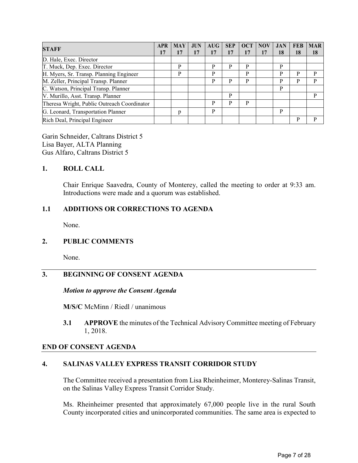| <b>STAFF</b>                                |  | <b>MAY</b> | <b>JUN</b> | AUG | <b>SEP</b> | OCT | <b>NOV</b> | <b>JAN</b> | <b>FEB</b> | <b>MAR</b> |
|---------------------------------------------|--|------------|------------|-----|------------|-----|------------|------------|------------|------------|
|                                             |  | 17         |            | 17  | 17         | 17  |            | 18         | 18         | 18         |
| D. Hale, Exec. Director                     |  |            |            |     |            |     |            |            |            |            |
| T. Muck, Dep. Exec. Director                |  | P          |            | P   | P          | P   |            | P          |            |            |
| H. Myers, Sr. Transp. Planning Engineer     |  | P          |            | P   |            | P   |            | P          | P          | D          |
| M. Zeller, Principal Transp. Planner        |  |            |            | P   | P          | P   |            | P          | P          | P          |
| C. Watson, Principal Transp. Planner        |  |            |            |     |            |     |            | P          |            |            |
| V. Murillo, Asst. Transp. Planner           |  |            |            |     | P          |     |            |            |            | P          |
| Theresa Wright, Public Outreach Coordinator |  |            |            | P   | P          | P   |            |            |            |            |
| G. Leonard, Transportation Planner          |  | p          |            | P   |            |     |            | P          |            |            |
| Rich Deal, Principal Engineer               |  |            |            |     |            |     |            |            | P          | D          |

Garin Schneider, Caltrans District 5 Lisa Bayer, ALTA Planning Gus Alfaro, Caltrans District 5

### **1. ROLL CALL**

Chair Enrique Saavedra, County of Monterey, called the meeting to order at 9:33 am. Introductions were made and a quorum was established.

### **1.1 ADDITIONS OR CORRECTIONS TO AGENDA**

None.

#### **2. PUBLIC COMMENTS**

None.

## **3. BEGINNING OF CONSENT AGENDA**

#### *Motion to approve the Consent Agenda*

**M/S/C** McMinn / Riedl / unanimous

**3.1 APPROVE** the minutes of the Technical Advisory Committee meeting of February 1, 2018.

#### **END OF CONSENT AGENDA**

#### **4. SALINAS VALLEY EXPRESS TRANSIT CORRIDOR STUDY**

The Committee received a presentation from Lisa Rheinheimer, Monterey-Salinas Transit, on the Salinas Valley Express Transit Corridor Study.

Ms. Rheinheimer presented that approximately 67,000 people live in the rural South County incorporated cities and unincorporated communities. The same area is expected to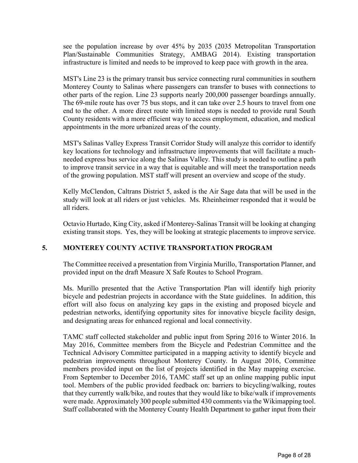see the population increase by over 45% by 2035 (2035 Metropolitan Transportation Plan/Sustainable Communities Strategy, AMBAG 2014). Existing transportation infrastructure is limited and needs to be improved to keep pace with growth in the area.

MST's Line 23 is the primary transit bus service connecting rural communities in southern Monterey County to Salinas where passengers can transfer to buses with connections to other parts of the region. Line 23 supports nearly 200,000 passenger boardings annually. The 69-mile route has over 75 bus stops, and it can take over 2.5 hours to travel from one end to the other. A more direct route with limited stops is needed to provide rural South County residents with a more efficient way to access employment, education, and medical appointments in the more urbanized areas of the county.

MST's Salinas Valley Express Transit Corridor Study will analyze this corridor to identify key locations for technology and infrastructure improvements that will facilitate a muchneeded express bus service along the Salinas Valley. This study is needed to outline a path to improve transit service in a way that is equitable and will meet the transportation needs of the growing population. MST staff will present an overview and scope of the study.

Kelly McClendon, Caltrans District 5, asked is the Air Sage data that will be used in the study will look at all riders or just vehicles. Ms. Rheinheimer responded that it would be all riders.

Octavio Hurtado, King City, asked if Monterey-Salinas Transit will be looking at changing existing transit stops. Yes, they will be looking at strategic placements to improve service.

### **5. MONTEREY COUNTY ACTIVE TRANSPORTATION PROGRAM**

The Committee received a presentation from Virginia Murillo, Transportation Planner, and provided input on the draft Measure X Safe Routes to School Program.

Ms. Murillo presented that the Active Transportation Plan will identify high priority bicycle and pedestrian projects in accordance with the State guidelines. In addition, this effort will also focus on analyzing key gaps in the existing and proposed bicycle and pedestrian networks, identifying opportunity sites for innovative bicycle facility design, and designating areas for enhanced regional and local connectivity.

TAMC staff collected stakeholder and public input from Spring 2016 to Winter 2016. In May 2016, Committee members from the Bicycle and Pedestrian Committee and the Technical Advisory Committee participated in a mapping activity to identify bicycle and pedestrian improvements throughout Monterey County. In August 2016, Committee members provided input on the list of projects identified in the May mapping exercise. From September to December 2016, TAMC staff set up an online mapping public input tool. Members of the public provided feedback on: barriers to bicycling/walking, routes that they currently walk/bike, and routes that they would like to bike/walk if improvements were made. Approximately 300 people submitted 430 comments via the Wikimapping tool. Staff collaborated with the Monterey County Health Department to gather input from their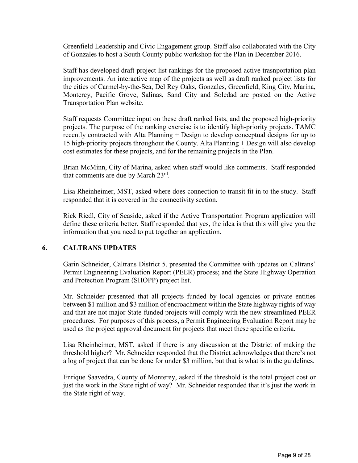Greenfield Leadership and Civic Engagement group. Staff also collaborated with the City of Gonzales to host a South County public workshop for the Plan in December 2016.

Staff has developed draft project list rankings for the proposed active trasnportation plan improvements. An interactive map of the projects as well as draft ranked project lists for the cities of Carmel-by-the-Sea, Del Rey Oaks, Gonzales, Greenfield, King City, Marina, Monterey, Pacific Grove, Salinas, Sand City and Soledad are posted on the Active Transportation Plan website.

Staff requests Committee input on these draft ranked lists, and the proposed high-priority projects. The purpose of the ranking exercise is to identify high-priority projects. TAMC recently contracted with Alta Planning + Design to develop conceptual designs for up to 15 high-priority projects throughout the County. Alta Planning + Design will also develop cost estimates for these projects, and for the remaining projects in the Plan.

Brian McMinn, City of Marina, asked when staff would like comments. Staff responded that comments are due by March  $23^{\text{rd}}$ .

Lisa Rheinheimer, MST, asked where does connection to transit fit in to the study. Staff responded that it is covered in the connectivity section.

Rick Riedl, City of Seaside, asked if the Active Transportation Program application will define these criteria better. Staff responded that yes, the idea is that this will give you the information that you need to put together an application.

### **6. CALTRANS UPDATES**

Garin Schneider, Caltrans District 5, presented the Committee with updates on Caltrans' Permit Engineering Evaluation Report (PEER) process; and the State Highway Operation and Protection Program (SHOPP) project list.

Mr. Schneider presented that all projects funded by local agencies or private entities between \$1 million and \$3 million of encroachment within the State highway rights of way and that are not major State-funded projects will comply with the new streamlined PEER procedures. For purposes of this process, a Permit Engineering Evaluation Report may be used as the project approval document for projects that meet these specific criteria.

Lisa Rheinheimer, MST, asked if there is any discussion at the District of making the threshold higher? Mr. Schneider responded that the District acknowledges that there's not a log of project that can be done for under \$3 million, but that is what is in the guidelines.

Enrique Saavedra, County of Monterey, asked if the threshold is the total project cost or just the work in the State right of way? Mr. Schneider responded that it's just the work in the State right of way.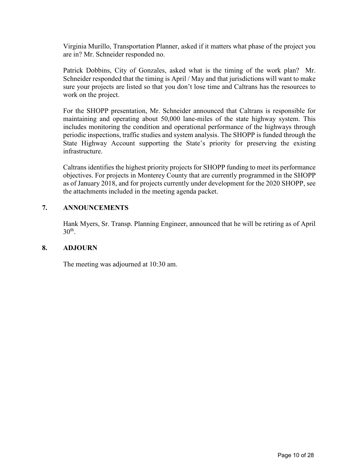Virginia Murillo, Transportation Planner, asked if it matters what phase of the project you are in? Mr. Schneider responded no.

Patrick Dobbins, City of Gonzales, asked what is the timing of the work plan? Mr. Schneider responded that the timing is April / May and that jurisdictions will want to make sure your projects are listed so that you don't lose time and Caltrans has the resources to work on the project.

For the SHOPP presentation, Mr. Schneider announced that Caltrans is responsible for maintaining and operating about 50,000 lane-miles of the state highway system. This includes monitoring the condition and operational performance of the highways through periodic inspections, traffic studies and system analysis. The SHOPP is funded through the State Highway Account supporting the State's priority for preserving the existing infrastructure.

Caltrans identifies the highest priority projects for SHOPP funding to meet its performance objectives. For projects in Monterey County that are currently programmed in the SHOPP as of January 2018, and for projects currently under development for the 2020 SHOPP, see the attachments included in the meeting agenda packet.

### **7. ANNOUNCEMENTS**

Hank Myers, Sr. Transp. Planning Engineer, announced that he will be retiring as of April  $30<sup>th</sup>$ .

#### **8. ADJOURN**

The meeting was adjourned at 10:30 am.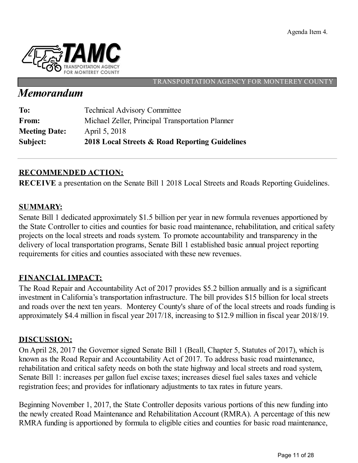

#### TRANSPORTATION AGENCY FOR MONTEREY COUNT

# *Memorandum*

| Subject:             | 2018 Local Streets & Road Reporting Guidelines   |
|----------------------|--------------------------------------------------|
| <b>Meeting Date:</b> | April 5, 2018                                    |
| From:                | Michael Zeller, Principal Transportation Planner |
| To:                  | <b>Technical Advisory Committee</b>              |

# **RECOMMENDED ACTION:**

**RECEIVE** a presentation on the Senate Bill 1 2018 Local Streets and Roads Reporting Guidelines.

## **SUMMARY:**

Senate Bill 1 dedicated approximately \$1.5 billion per year in new formula revenues apportioned by the State Controller to cities and counties for basic road maintenance, rehabilitation, and critical safety projects on the local streets and roads system. To promote accountability and transparency in the delivery of local transportation programs, Senate Bill 1 established basic annual project reporting requirements for cities and counties associated with these new revenues.

## **FINANCIAL IMPACT:**

The Road Repair and Accountability Act of 2017 provides \$5.2 billion annually and is a significant investment in California's transportation infrastructure. The bill provides \$15 billion for local streets and roads over the next ten years. Monterey County's share of of the local streets and roads funding is approximately \$4.4 million in fiscal year 2017/18, increasing to \$12.9 million in fiscal year 2018/19.

## **DISCUSSION:**

On April 28, 2017 the Governor signed Senate Bill 1 (Beall, Chapter 5, Statutes of 2017), which is known as the Road Repair and Accountability Act of 2017. To address basic road maintenance, rehabilitation and critical safety needs on both the state highway and local streets and road system, Senate Bill 1: increases per gallon fuel excise taxes; increases diesel fuel sales taxes and vehicle registration fees; and provides for inflationary adjustments to tax rates in future years.

Beginning November 1, 2017, the State Controller deposits various portions of this new funding into the newly created Road Maintenance and Rehabilitation Account (RMRA). A percentage of this new RMRA funding is apportioned by formula to eligible cities and counties for basic road maintenance,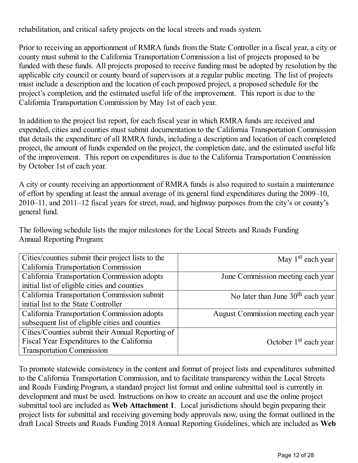rehabilitation, and critical safety projects on the local streets and roads system.

Prior to receiving an apportionment of RMRA funds from the State Controller in a fiscal year, a city or county must submit to the California Transportation Commission a list of projects proposed to be funded with these funds. All projects proposed to receive funding must be adopted by resolution by the applicable city council or county board of supervisors at a regular public meeting. The list of projects must include a description and the location of each proposed project, a proposed schedule for the project's completion, and the estimated useful life of the improvement. This report is due to the California Transportation Commission by May 1st of each year.

In addition to the project list report, for each fiscal year in which RMRA funds are received and expended, cities and counties must submit documentation to the California Transportation Commission that details the expenditure of all RMRA funds, including a description and location of each completed project, the amount of funds expended on the project, the completion date, and the estimated useful life of the improvement. This report on expenditures is due to the California Transportation Commission by October 1st of each year.

A city or county receiving an apportionment of RMRA funds is also required to sustain a maintenance of effort by spending at least the annual average of its general fund expenditures during the 2009–10, 2010–11, and 2011–12 fiscal years for street, road, and highway purposes from the city's or county's general fund.

The following schedule lists the major milestones for the Local Streets and Roads Funding Annual Reporting Program:

| Cities/counties submit their project lists to the | May 1 <sup>st</sup> each year       |
|---------------------------------------------------|-------------------------------------|
| California Transportation Commission              |                                     |
| California Transportation Commission adopts       | June Commission meeting each year   |
| initial list of eligible cities and counties      |                                     |
| California Transportation Commission submit       | No later than June $30th$ each year |
| initial list to the State Controller              |                                     |
| California Transportation Commission adopts       | August Commission meeting each year |
| subsequent list of eligible cities and counties   |                                     |
| Cities/Counties submit their Annual Reporting of  |                                     |
| Fiscal Year Expenditures to the California        | October $1st$ each year             |
| <b>Transportation Commission</b>                  |                                     |

To promote statewide consistency in the content and format of project lists and expenditures submitted to the California Transportation Commission, and to facilitate transparency within the Local Streets and Roads Funding Program, a standard project list format and online submittal tool is currently in development and must be used. Instructions on how to create an account and use the online project submittal tool are included as **Web Attachment 1**. Local jurisdictions should begin preparing their project lists for submittal and receiving governing body approvals now, using the format outlined in the draft Local Streets and Roads Funding 2018 Annual Reporting Guidelines, which are included as **Web**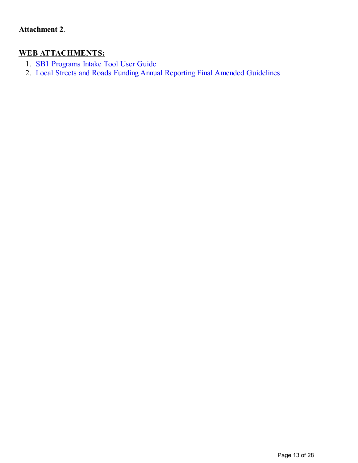# **WEB ATTACHMENTS:**

- 1. SB1 [Programs](http://www.catc.ca.gov/programs/sb1/lsrp/docs/SB1_Programs-Intake-Tool-Guide-LSR.pdf) Intake Tool User Guide
- 2. Local Streets and Roads Funding Annual Reporting Final Amended [Guidelines](http://www.catc.ca.gov/programs/sb1/lsrp/docs/032118-final-LSRP-amended-reporting-guidelines.pdf)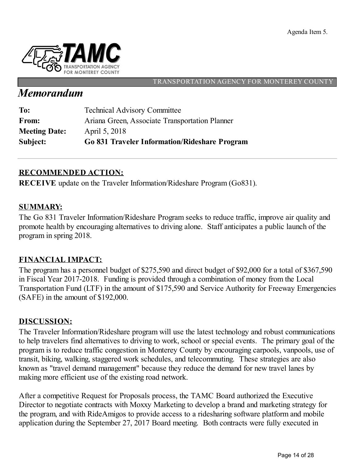

#### TRANSPORTATION AGENCY FOR MONTEREY COUNT

# *Memorandum*

| Subject:             | <b>Go 831 Traveler Information/Rideshare Program</b> |
|----------------------|------------------------------------------------------|
| <b>Meeting Date:</b> | April 5, 2018                                        |
| <b>From:</b>         | Ariana Green, Associate Transportation Planner       |
| To:                  | <b>Technical Advisory Committee</b>                  |

# **RECOMMENDED ACTION:**

**RECEIVE** update on the Traveler Information/Rideshare Program (Go831).

## **SUMMARY:**

The Go 831 Traveler Information/Rideshare Program seeks to reduce traffic, improve air quality and promote health by encouraging alternatives to driving alone. Staff anticipates a public launch of the program in spring 2018.

# **FINANCIAL IMPACT:**

The program has a personnel budget of \$275,590 and direct budget of \$92,000 for a total of \$367,590 in Fiscal Year 2017-2018. Funding is provided through a combination of money from the Local Transportation Fund (LTF) in the amount of \$175,590 and Service Authority for Freeway Emergencies (SAFE) in the amount of \$192,000.

## **DISCUSSION:**

The Traveler Information/Rideshare program will use the latest technology and robust communications to help travelers find alternatives to driving to work, school or special events. The primary goal of the program is to reduce traffic congestion in Monterey County by encouraging carpools, vanpools, use of transit, biking, walking, staggered work schedules, and telecommuting. These strategies are also known as "travel demand management" because they reduce the demand for new travel lanes by making more efficient use of the existing road network.

After a competitive Request for Proposals process, the TAMC Board authorized the Executive Director to negotiate contracts with Moxxy Marketing to develop a brand and marketing strategy for the program, and with RideAmigos to provide access to a ridesharing software platform and mobile application during the September 27, 2017 Board meeting. Both contracts were fully executed in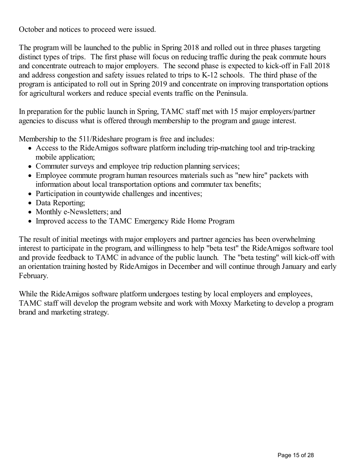October and notices to proceed were issued.

The program will be launched to the public in Spring 2018 and rolled out in three phases targeting distinct types of trips. The first phase will focus on reducing traffic during the peak commute hours and concentrate outreach to major employers. The second phase is expected to kick-off in Fall 2018 and address congestion and safety issues related to trips to K-12 schools. The third phase of the program is anticipated to roll out in Spring 2019 and concentrate on improving transportation options for agricultural workers and reduce special events traffic on the Peninsula.

In preparation for the public launch in Spring, TAMC staff met with 15 major employers/partner agencies to discuss what is offered through membership to the program and gauge interest.

Membership to the 511/Rideshare program is free and includes:

- Access to the RideAmigos software platform including trip-matching tool and trip-tracking mobile application;
- Commuter surveys and employee trip reduction planning services;
- Employee commute program human resources materials such as "new hire" packets with information about local transportation options and commuter tax benefits;
- Participation in countywide challenges and incentives;
- Data Reporting;
- Monthly e-Newsletters; and
- Improved access to the TAMC Emergency Ride Home Program

The result of initial meetings with major employers and partner agencies has been overwhelming interest to participate in the program, and willingness to help "beta test" the RideAmigos software tool and provide feedback to TAMC in advance of the public launch. The "beta testing" will kick-off with an orientation training hosted by RideAmigos in December and will continue through January and early February.

While the RideAmigos software platform undergoes testing by local employers and employees, TAMC staff will develop the program website and work with Moxxy Marketing to develop a program brand and marketing strategy.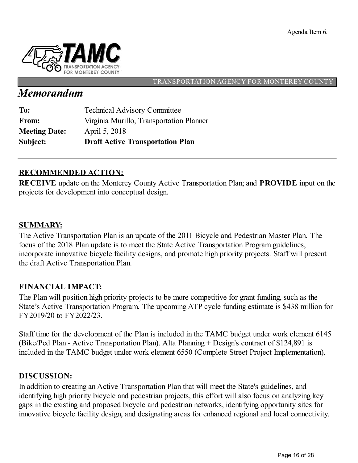Agenda Item 6.



#### TRANSPORTATION AGENCY FOR MONTEREY COUNT

# *Memorandum*

| Subject:             | <b>Draft Active Transportation Plan</b>  |
|----------------------|------------------------------------------|
| <b>Meeting Date:</b> | April 5, 2018                            |
| From:                | Virginia Murillo, Transportation Planner |
| To:                  | <b>Technical Advisory Committee</b>      |

# **RECOMMENDED ACTION:**

**RECEIVE** update on the Monterey County Active Transportation Plan; and **PROVIDE** input on the projects for development into conceptual design.

## **SUMMARY:**

The Active Transportation Plan is an update of the 2011 Bicycle and Pedestrian Master Plan. The focus of the 2018 Plan update is to meet the State Active Transportation Program guidelines, incorporate innovative bicycle facility designs, and promote high priority projects. Staff will present the draft Active Transportation Plan.

## **FINANCIAL IMPACT:**

The Plan will position high priority projects to be more competitive for grant funding, such as the State's Active Transportation Program. The upcoming ATP cycle funding estimate is \$438 million for FY2019/20 to FY2022/23.

Staff time for the development of the Plan is included in the TAMC budget under work element 6145 (Bike/Ped Plan - Active Transportation Plan). Alta Planning + Design's contract of \$124,891 is included in the TAMC budget under work element 6550 (Complete Street Project Implementation).

## **DISCUSSION:**

In addition to creating an Active Transportation Plan that will meet the State's guidelines, and identifying high priority bicycle and pedestrian projects, this effort will also focus on analyzing key gaps in the existing and proposed bicycle and pedestrian networks, identifying opportunity sites for innovative bicycle facility design, and designating areas for enhanced regional and local connectivity.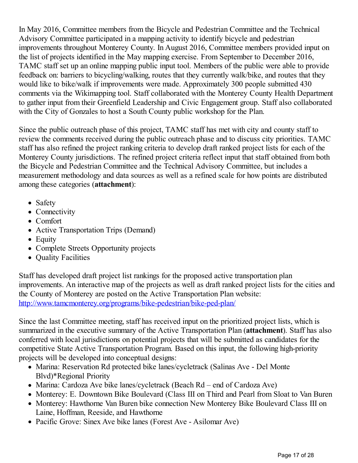In May 2016, Committee members from the Bicycle and Pedestrian Committee and the Technical Advisory Committee participated in a mapping activity to identify bicycle and pedestrian improvements throughout Monterey County. In August 2016, Committee members provided input on the list of projects identified in the May mapping exercise. From September to December 2016, TAMC staff set up an online mapping public input tool. Members of the public were able to provide feedback on: barriers to bicycling/walking, routes that they currently walk/bike, and routes that they would like to bike/walk if improvements were made. Approximately 300 people submitted 430 comments via the Wikimapping tool. Staff collaborated with the Monterey County Health Department to gather input from their Greenfield Leadership and Civic Engagement group. Staff also collaborated with the City of Gonzales to host a South County public workshop for the Plan.

Since the public outreach phase of this project, TAMC staff has met with city and county staff to review the comments received during the public outreach phase and to discuss city priorities. TAMC staff has also refined the project ranking criteria to develop draft ranked project lists for each of the Monterey County jurisdictions. The refined project criteria reflect input that staff obtained from both the Bicycle and Pedestrian Committee and the Technical Advisory Committee, but includes a measurement methodology and data sources as well as a refined scale for how points are distributed among these categories (**attachment**):

- Safety
- Connectivity
- Comfort
- Active Transportation Trips (Demand)
- Equity
- Complete Streets Opportunity projects
- Quality Facilities

Staff has developed draft project list rankings for the proposed active transportation plan improvements. An interactive map of the projects as well as draft ranked project lists for the cities and the County of Monterey are posted on the Active Transportation Plan website: <http://www.tamcmonterey.org/programs/bike-pedestrian/bike-ped-plan/>

Since the last Committee meeting, staff has received input on the prioritized project lists, which is summarized in the executive summary of the Active Transportation Plan (**attachment**). Staff has also conferred with local jurisdictions on potential projects that will be submitted as candidates for the competitive State Active Transportation Program. Based on this input, the following high-priority projects will be developed into conceptual designs:

- Marina: Reservation Rd protected bike lanes/cycletrack (Salinas Ave Del Monte Blvd)\*Regional Priority
- Marina: Cardoza Ave bike lanes/cycletrack (Beach Rd end of Cardoza Ave)
- Monterey: E. Downtown Bike Boulevard (Class III on Third and Pearl from Sloat to Van Buren
- Monterey: Hawthorne Van Buren bike connection New Monterey Bike Boulevard Class III on Laine, Hoffman, Reeside, and Hawthorne
- Pacific Grove: Sinex Ave bike lanes (Forest Ave Asilomar Ave)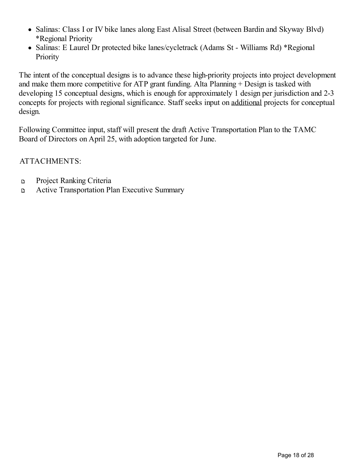- Salinas: Class I or IV bike lanes along East Alisal Street (between Bardin and Skyway Blvd) \*Regional Priority
- Salinas: E Laurel Dr protected bike lanes/cycletrack (Adams St Williams Rd) \*Regional **Priority**

The intent of the conceptual designs is to advance these high-priority projects into project development and make them more competitive for ATP grant funding. Alta Planning + Design is tasked with developing 15 conceptual designs, which is enough for approximately 1 design per jurisdiction and 2-3 concepts for projects with regional significance. Staff seeks input on additional projects for conceptual design.

Following Committee input, staff will present the draft Active Transportation Plan to the TAMC Board of Directors on April 25, with adoption targeted for June.

ATTACHMENTS:

- Project Ranking Criteria  $\mathbf{D}$
- Active Transportation Plan Executive Summary  $\mathbf D$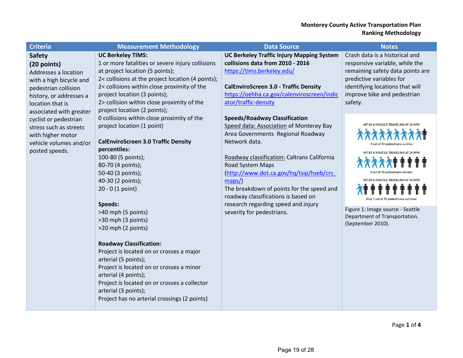| <b>Criteria</b>                                                                                                                                                                                                                                           | <b>Measurement Methodology</b>                                                                                                                                                                                                                                                                                                                                                                                                                                                                                                                       | <b>Data Source</b>                                                                                                                                                                                                                                                                                                                                               | <b>Notes</b>                                                                                                                                                                                                                                                                                 |
|-----------------------------------------------------------------------------------------------------------------------------------------------------------------------------------------------------------------------------------------------------------|------------------------------------------------------------------------------------------------------------------------------------------------------------------------------------------------------------------------------------------------------------------------------------------------------------------------------------------------------------------------------------------------------------------------------------------------------------------------------------------------------------------------------------------------------|------------------------------------------------------------------------------------------------------------------------------------------------------------------------------------------------------------------------------------------------------------------------------------------------------------------------------------------------------------------|----------------------------------------------------------------------------------------------------------------------------------------------------------------------------------------------------------------------------------------------------------------------------------------------|
| <b>Safety</b><br>(20 points)<br>Addresses a location<br>with a high bicycle and<br>pedestrian collision<br>history, or addresses a<br>location that is<br>associated with greater<br>cyclist or pedestrian<br>stress such as streets<br>with higher motor | <b>UC Berkeley TIMS:</b><br>1 or more fatalities or severe injury collisions<br>at project location (5 points);<br>2< collisions at the project location (4 points);<br>2< collisions within close proximity of the<br>project location (3 points);<br>2> collision within close proximity of the<br>project location (2 points);<br>0 collisions within close proximity of the<br>project location (1 point)                                                                                                                                        | <b>UC Berkeley Traffic Injury Mapping System</b><br>collisions data from 2010 - 2016<br>https://tims.berkeley.edu/<br><b>CalEnviroScreen 3.0 - Traffic Density</b><br>https://oehha.ca.gov/calenviroscreen/indic<br>ator/traffic-density<br><b>Speeds/Roadway Classification</b><br>Speed data: Association of Monterey Bay<br>Area Governments Regional Roadway | Crash data is a historical and<br>responsive variable, while the<br>remaining safety data points are<br>predictive variables for<br>identifying locations that will<br>improve bike and pedestrian<br>safety.<br>HIT BY A VEHICLE TRAVELING AT 20 MPH                                        |
| vehicle volumes and/or<br>posted speeds.                                                                                                                                                                                                                  | <b>CalEnviroScreen 3.0 Traffic Density</b><br>percentiles:<br>100-80 (5 points);<br>80-70 (4 points);<br>50-40 (3 points);<br>40-30 (2 points);<br>$20 - 0$ (1 point)<br>Speeds:<br>>40 mph (5 points)<br>>30 mph (3 points)<br>>20 mph (2 points)<br><b>Roadway Classification:</b><br>Project is located on or crosses a major<br>arterial (5 points);<br>Project is located on or crosses a minor<br>arterial (4 points);<br>Project is located on or crosses a collector<br>arterial (3 points);<br>Project has no arterial crossings (2 points) | Network data.<br>Roadway classification: Caltrans California<br>Road System Maps<br>(http://www.dot.ca.gov/hq/tsip/hseb/crs<br>maps<br>The breakdown of points for the speed and<br>roadway classifications is based on<br>research regarding speed and injury<br>severity for pedestrians.                                                                      | 9 out of 10 pedestrians survive<br>HIT BY A VEHICLE TRAVELING AT 30 MPH<br><b>5 out of 10 pedestrians survive</b><br>HIT BY A VEHICLE TRAVELING AT 40 MPH<br>Only 1 out of 10 pedestrians survives<br>Figure 1: Image source - Seattle<br>Department of Transportation.<br>(September 2010). |
|                                                                                                                                                                                                                                                           |                                                                                                                                                                                                                                                                                                                                                                                                                                                                                                                                                      |                                                                                                                                                                                                                                                                                                                                                                  |                                                                                                                                                                                                                                                                                              |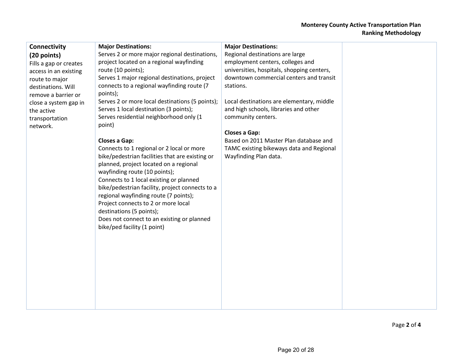#### **Monterey County Active Transportation Plan Ranking Methodology**

| Connectivity           | <b>Major Destinations:</b>                      | <b>Major Destinations:</b>                 |  |
|------------------------|-------------------------------------------------|--------------------------------------------|--|
| (20 points)            | Serves 2 or more major regional destinations,   | Regional destinations are large            |  |
| Fills a gap or creates | project located on a regional wayfinding        | employment centers, colleges and           |  |
| access in an existing  | route (10 points);                              | universities, hospitals, shopping centers, |  |
| route to major         | Serves 1 major regional destinations, project   | downtown commercial centers and transit    |  |
| destinations. Will     | connects to a regional wayfinding route (7      | stations.                                  |  |
| remove a barrier or    | points);                                        |                                            |  |
| close a system gap in  | Serves 2 or more local destinations (5 points); | Local destinations are elementary, middle  |  |
| the active             | Serves 1 local destination (3 points);          | and high schools, libraries and other      |  |
| transportation         | Serves residential neighborhood only (1         | community centers.                         |  |
| network.               | point)                                          |                                            |  |
|                        |                                                 | <b>Closes a Gap:</b>                       |  |
|                        | Closes a Gap:                                   | Based on 2011 Master Plan database and     |  |
|                        | Connects to 1 regional or 2 local or more       | TAMC existing bikeways data and Regional   |  |
|                        | bike/pedestrian facilities that are existing or | Wayfinding Plan data.                      |  |
|                        | planned, project located on a regional          |                                            |  |
|                        | wayfinding route (10 points);                   |                                            |  |
|                        | Connects to 1 local existing or planned         |                                            |  |
|                        | bike/pedestrian facility, project connects to a |                                            |  |
|                        | regional wayfinding route (7 points);           |                                            |  |
|                        | Project connects to 2 or more local             |                                            |  |
|                        | destinations (5 points);                        |                                            |  |
|                        | Does not connect to an existing or planned      |                                            |  |
|                        | bike/ped facility (1 point)                     |                                            |  |
|                        |                                                 |                                            |  |
|                        |                                                 |                                            |  |
|                        |                                                 |                                            |  |
|                        |                                                 |                                            |  |
|                        |                                                 |                                            |  |
|                        |                                                 |                                            |  |
|                        |                                                 |                                            |  |
|                        |                                                 |                                            |  |
|                        |                                                 |                                            |  |
|                        |                                                 |                                            |  |
|                        |                                                 |                                            |  |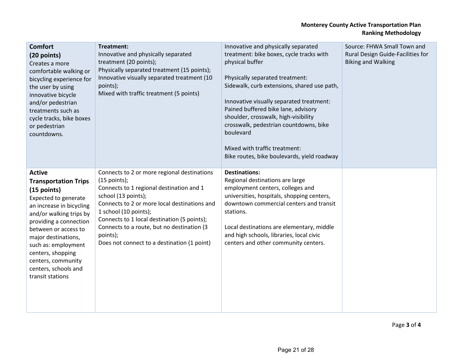#### **Monterey County Active Transportation Plan Ranking Methodology**

| <b>Comfort</b><br>(20 points)<br>Creates a more<br>comfortable walking or<br>bicycling experience for<br>the user by using<br>innovative bicycle<br>and/or pedestrian<br>treatments such as<br>cycle tracks, bike boxes<br>or pedestrian<br>countdowns.                                                                                  | Treatment:<br>Innovative and physically separated<br>treatment (20 points);<br>Physically separated treatment (15 points);<br>Innovative visually separated treatment (10<br>points);<br>Mixed with traffic treatment (5 points)                                                                                                                                  | Innovative and physically separated<br>treatment: bike boxes, cycle tracks with<br>physical buffer<br>Physically separated treatment:<br>Sidewalk, curb extensions, shared use path,<br>Innovative visually separated treatment:<br>Pained buffered bike lane, advisory<br>shoulder, crosswalk, high-visibility<br>crosswalk, pedestrian countdowns, bike<br>boulevard<br>Mixed with traffic treatment:<br>Bike routes, bike boulevards, yield roadway | Source: FHWA Small Town and<br>Rural Design Guide-Facilities for<br><b>Biking and Walking</b> |
|------------------------------------------------------------------------------------------------------------------------------------------------------------------------------------------------------------------------------------------------------------------------------------------------------------------------------------------|-------------------------------------------------------------------------------------------------------------------------------------------------------------------------------------------------------------------------------------------------------------------------------------------------------------------------------------------------------------------|--------------------------------------------------------------------------------------------------------------------------------------------------------------------------------------------------------------------------------------------------------------------------------------------------------------------------------------------------------------------------------------------------------------------------------------------------------|-----------------------------------------------------------------------------------------------|
| <b>Active</b><br><b>Transportation Trips</b><br>(15 points)<br><b>Expected to generate</b><br>an increase in bicycling<br>and/or walking trips by<br>providing a connection<br>between or access to<br>major destinations,<br>such as: employment<br>centers, shopping<br>centers, community<br>centers, schools and<br>transit stations | Connects to 2 or more regional destinations<br>$(15$ points);<br>Connects to 1 regional destination and 1<br>school (13 points);<br>Connects to 2 or more local destinations and<br>1 school (10 points);<br>Connects to 1 local destination (5 points);<br>Connects to a route, but no destination (3<br>points);<br>Does not connect to a destination (1 point) | <b>Destinations:</b><br>Regional destinations are large<br>employment centers, colleges and<br>universities, hospitals, shopping centers,<br>downtown commercial centers and transit<br>stations.<br>Local destinations are elementary, middle<br>and high schools, libraries, local civic<br>centers and other community centers.                                                                                                                     |                                                                                               |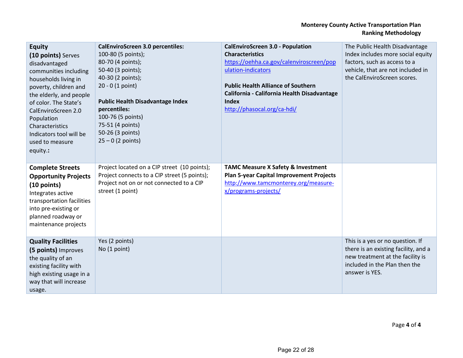#### **Monterey County Active Transportation Plan Ranking Methodology**

| <b>Equity</b><br>(10 points) Serves<br>disadvantaged<br>communities including<br>households living in<br>poverty, children and<br>the elderly, and people<br>of color. The State's<br>CalEnviroScreen 2.0<br>Population<br>Characteristics<br>Indicators tool will be<br>used to measure<br>equity.: | <b>CalEnviroScreen 3.0 percentiles:</b><br>100-80 (5 points);<br>80-70 (4 points);<br>50-40 (3 points);<br>40-30 (2 points);<br>$20 - 0$ (1 point)<br><b>Public Health Disadvantage Index</b><br>percentiles:<br>100-76 (5 points)<br>75-51 (4 points)<br>50-26 (3 points)<br>$25 - 0$ (2 points) | <b>CalEnviroScreen 3.0 - Population</b><br><b>Characteristics</b><br>https://oehha.ca.gov/calenviroscreen/pop<br>ulation-indicators<br><b>Public Health Alliance of Southern</b><br>California - California Health Disadvantage<br>Index<br>http://phasocal.org/ca-hdi/ | The Public Health Disadvantage<br>Index includes more social equity<br>factors, such as access to a<br>vehicle, that are not included in<br>the CalEnviroScreen scores. |
|------------------------------------------------------------------------------------------------------------------------------------------------------------------------------------------------------------------------------------------------------------------------------------------------------|---------------------------------------------------------------------------------------------------------------------------------------------------------------------------------------------------------------------------------------------------------------------------------------------------|-------------------------------------------------------------------------------------------------------------------------------------------------------------------------------------------------------------------------------------------------------------------------|-------------------------------------------------------------------------------------------------------------------------------------------------------------------------|
| <b>Complete Streets</b><br><b>Opportunity Projects</b><br>$(10$ points)<br>Integrates active<br>transportation facilities<br>into pre-existing or<br>planned roadway or<br>maintenance projects                                                                                                      | Project located on a CIP street (10 points);<br>Project connects to a CIP street (5 points);<br>Project not on or not connected to a CIP<br>street (1 point)                                                                                                                                      | <b>TAMC Measure X Safety &amp; Investment</b><br><b>Plan 5-year Capital Improvement Projects</b><br>http://www.tamcmonterey.org/measure-<br>x/programs-projects/                                                                                                        |                                                                                                                                                                         |
| <b>Quality Facilities</b><br>(5 points) Improves<br>the quality of an<br>existing facility with<br>high existing usage in a<br>way that will increase<br>usage.                                                                                                                                      | Yes (2 points)<br>No (1 point)                                                                                                                                                                                                                                                                    |                                                                                                                                                                                                                                                                         | This is a yes or no question. If<br>there is an existing facility, and a<br>new treatment at the facility is<br>included in the Plan then the<br>answer is YES.         |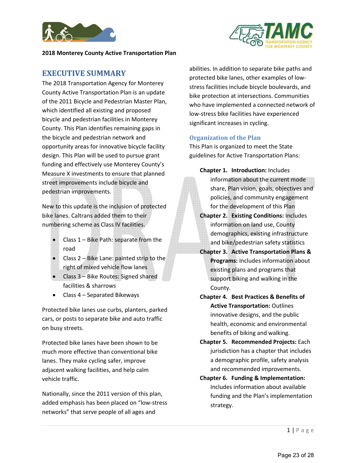

## **EXECUTIVE SUMMARY**

The 2018 Transportation Agency for Monterey County Active Transportation Plan is an update of the 2011 Bicycle and Pedestrian Master Plan, which identified all existing and proposed bicycle and pedestrian facilities in Monterey County. This Plan identifies remaining gaps in the bicycle and pedestrian network and opportunity areas for innovative bicycle facility design. This Plan will be used to pursue grant funding and effectively use Monterey County's Measure X investments to ensure that planned street improvements include bicycle and pedestrian improvements.

New to this update is the inclusion of protected bike lanes. Caltrans added them to their numbering scheme as Class IV facilities.

- Class 1 Bike Path: separate from the road
- Class 2 Bike Lane: painted strip to the right of mixed vehicle flow lanes
- Class 3 Bike Routes: Signed shared facilities & sharrows
- Class 4 Separated Bikeways

Protected bike lanes use curbs, planters, parked cars, or posts to separate bike and auto traffic on busy streets.

Protected bike lanes have been shown to be much more effective than conventional bike lanes. They make cycling safer, improve adjacent walking facilities, and help calm vehicle traffic.

Nationally, since the 2011 version of this plan, added emphasis has been placed on "low-stress networks" that serve people of all ages and

abilities. In addition to separate bike paths and protected bike lanes, other examples of lowstress facilities include bicycle boulevards, and bike protection at intersections. Communities who have implemented a connected network of low-stress bike facilities have experienced significant increases in cycling.

#### **Organization of the Plan**

This Plan is organized to meet the State guidelines for Active Transportation Plans:

**Chapter 1. Introduction:** Includes information about the current mode share, Plan vision, goals, objectives and policies, and community engagement for the development of this Plan

- **Chapter 2. Existing Conditions:** Includes information on land use, County demographics, existing infrastructure and bike/pedestrian safety statistics
- **Chapter 3. Active Transportation Plans & Programs:** Includes information about existing plans and programs that support biking and walking in the County.
- **Chapter 4. Best Practices & Benefits of Active Transportation:** Outlines innovative designs, and the public health, economic and environmental benefits of biking and walking.
- **Chapter 5. Recommended Projects:** Each jurisdiction has a chapter that includes a demographic profile, safety analysis and recommended improvements.
- **Chapter 6. Funding & Implementation:** Includes information about available funding and the Plan's implementation strategy.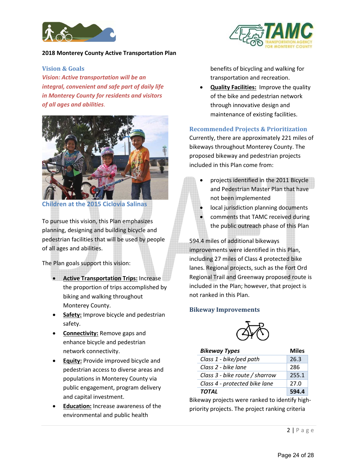

#### **Vision & Goals**

*Vision: Active transportation will be an integral, convenient and safe part of daily life in Monterey County for residents and visitors of all ages and abilities*.



**Children at the 2015 Ciclovia Salinas** 

To pursue this vision, this Plan emphasizes planning, designing and building bicycle and pedestrian facilities that will be used by people of all ages and abilities.

The Plan goals support this vision:

- **Active Transportation Trips:** Increase the proportion of trips accomplished by biking and walking throughout Monterey County.
- **Safety:** Improve bicycle and pedestrian safety.
- **Connectivity:** Remove gaps and enhance bicycle and pedestrian network connectivity.
- **Equity:** Provide improved bicycle and pedestrian access to diverse areas and populations in Monterey County via public engagement, program delivery and capital investment.
- **Education:** Increase awareness of the environmental and public health



benefits of bicycling and walking for transportation and recreation.

• **Quality Facilities:** Improve the quality of the bike and pedestrian network through innovative design and maintenance of existing facilities.

#### **Recommended Projects & Prioritization**

Currently, there are approximately 221 miles of bikeways throughout Monterey County. The proposed bikeway and pedestrian projects included in this Plan come from:

- projects identified in the 2011 Bicycle and Pedestrian Master Plan that have not been implemented
- local jurisdiction planning documents
- comments that TAMC received during the public outreach phase of this Plan

594.4 miles of additional bikeways improvements were identified in this Plan, including 27 miles of Class 4 protected bike lanes. Regional projects, such as the Fort Ord Regional Trail and Greenway proposed route is included in the Plan; however, that project is not ranked in this Plan.

#### **Bikeway Improvements**



| <b>Bikeway Types</b>           | <b>Miles</b> |
|--------------------------------|--------------|
| Class 1 - bike/ped path        | 26.3         |
| Class 2 - bike lane            | 286          |
| Class 3 - bike route / sharrow | 255.1        |
| Class 4 - protected bike lane  | 27.0         |
| TOTAL                          | 594.4        |

Bikeway projects were ranked to identify highpriority projects. The project ranking criteria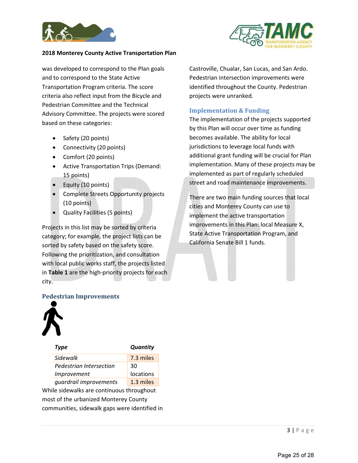



was developed to correspond to the Plan goals and to correspond to the State Active Transportation Program criteria. The score criteria also reflect input from the Bicycle and Pedestrian Committee and the Technical Advisory Committee. The projects were scored based on these categories:

- Safety (20 points)
- Connectivity (20 points)
- Comfort (20 points)
- Active Transportation Trips (Demand: 15 points)
- **Equity (10 points)**
- Complete Streets Opportunity projects (10 points)
- Quality Facilities (5 points)

Projects in this list may be sorted by criteria category; for example, the project lists can be sorted by safety based on the safety score. Following the prioritization, and consultation with local public works staff, the projects listed in **Table 1** are the high-priority projects for each city.

#### **Pedestrian Improvements**



| <b>Type</b>             | <b>Quantity</b> |
|-------------------------|-----------------|
| Sidewalk                | 7.3 miles       |
| Pedestrian Intersection | 30              |
| <i>Improvement</i>      | locations       |
| quardrail improvements  | 1.3 miles       |

While sidewalks are continuous throughout most of the urbanized Monterey County communities, sidewalk gaps were identified in Castroville, Chualar, San Lucas, and San Ardo. Pedestrian intersection improvements were identified throughout the County. Pedestrian projects were unranked.

#### **Implementation & Funding**

The implementation of the projects supported by this Plan will occur over time as funding becomes available. The ability for local jurisdictions to leverage local funds with additional grant funding will be crucial for Plan implementation. Many of these projects may be implemented as part of regularly scheduled street and road maintenance improvements.

There are two main funding sources that local cities and Monterey County can use to implement the active transportation improvements in this Plan: local Measure X, State Active Transportation Program, and California Senate Bill 1 funds.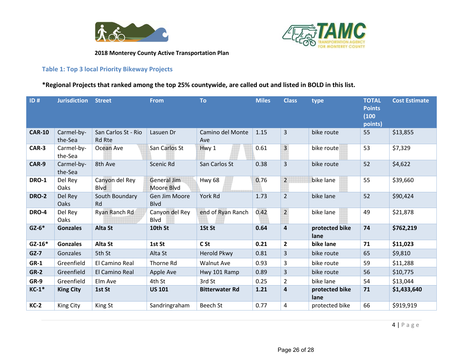



### **Table 1: Top 3 local Priority Bikeway Projects**

## **\*Regional Projects that ranked among the top 25% countywide, are called out and listed in BOLD in this list.**

| ID#           | <b>Jurisdiction Street</b> |                                      | <b>From</b>                      | <b>To</b>               | <b>Miles</b> | <b>Class</b>            | type                   | <b>TOTAL</b><br><b>Points</b><br>(100)<br>points) | <b>Cost Estimate</b> |
|---------------|----------------------------|--------------------------------------|----------------------------------|-------------------------|--------------|-------------------------|------------------------|---------------------------------------------------|----------------------|
| <b>CAR-10</b> | Carmel-by-<br>the-Sea      | San Carlos St - Rio<br><b>Rd Rte</b> | Lasuen Dr                        | Camino del Monte<br>Ave | 1.15         | $\overline{3}$          | bike route             | 55                                                | \$13,855             |
| CAR-3         | Carmel-by-<br>the-Sea      | Ocean Ave                            | San Carlos St                    | Hwy 1                   | 0.61         | $\overline{3}$          | bike route             | 53                                                | \$7,329              |
| CAR-9         | Carmel-by-<br>the-Sea      | 8th Ave                              | Scenic Rd                        | San Carlos St           | 0.38         | 3                       | bike route             | 52                                                | \$4,622              |
| <b>DRO-1</b>  | Del Rey<br>Oaks            | Canyon del Rey<br><b>Blvd</b>        | <b>General Jim</b><br>Moore Blvd | <b>Hwy 68</b>           | 0.76         | $\overline{2}$          | bike lane              | 55                                                | \$39,660             |
| <b>DRO-2</b>  | Del Rey<br>Oaks            | South Boundary<br><b>Rd</b>          | Gen Jim Moore<br><b>Blvd</b>     | York Rd                 | 1.73         | $\overline{2}$          | bike lane              | 52                                                | \$90,424             |
| DRO-4         | Del Rey<br>Oaks            | Ryan Ranch Rd                        | Canyon del Rey<br>Blvd           | end of Ryan Ranch       | 0.42         | $\overline{2}$          | bike lane              | 49                                                | \$21,878             |
| $GZ-6*$       | <b>Gonzales</b>            | <b>Alta St</b>                       | 10th St                          | 1St St                  | 0.64         | $\overline{\mathbf{4}}$ | protected bike<br>lane | 74                                                | \$762,219            |
| $GZ-16*$      | <b>Gonzales</b>            | Alta St                              | 1st St                           | C <sub>St</sub>         | 0.21         | $\overline{2}$          | bike lane              | 71                                                | \$11,023             |
| $GZ-7$        | Gonzales                   | 5th St                               | Alta St                          | <b>Herold Pkwy</b>      | 0.81         | 3                       | bike route             | 65                                                | \$9,810              |
| $GR-1$        | Greenfield                 | El Camino Real                       | Thorne Rd                        | <b>Walnut Ave</b>       | 0.93         | 3                       | bike route             | 59                                                | \$11,288             |
| $GR-2$        | Greenfield                 | El Camino Real                       | Apple Ave                        | Hwy 101 Ramp            | 0.89         | 3                       | bike route             | 56                                                | \$10,775             |
| GR-9          | Greenfield                 | Elm Ave                              | 4th St                           | 3rd St                  | 0.25         | $\overline{2}$          | bike lane              | 54                                                | \$13,044             |
| $KC-1*$       | <b>King City</b>           | 1st St                               | <b>US 101</b>                    | <b>Bitterwater Rd</b>   | 1.21         | 4                       | protected bike<br>lane | 71                                                | \$1,433,640          |
| $KC-2$        | King City                  | King St                              | Sandringraham                    | Beech St                | 0.77         | 4                       | protected bike         | 66                                                | \$919,919            |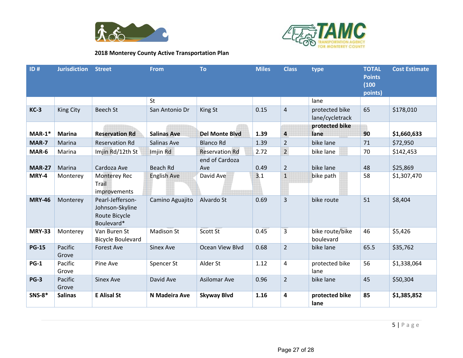



| ID#           | <b>Jurisdiction Street</b> |                                                                    | <b>From</b>        | <b>To</b>             | <b>Miles</b> | <b>Class</b>            | type                              | <b>TOTAL</b><br><b>Points</b><br>(100)<br>points) | <b>Cost Estimate</b> |
|---------------|----------------------------|--------------------------------------------------------------------|--------------------|-----------------------|--------------|-------------------------|-----------------------------------|---------------------------------------------------|----------------------|
|               |                            |                                                                    | <b>St</b>          |                       |              |                         | lane                              |                                                   |                      |
| $KC-3$        | King City                  | <b>Beech St</b>                                                    | San Antonio Dr     | King St               | 0.15         | $\overline{4}$          | protected bike<br>lane/cycletrack | 65                                                | \$178,010            |
| $MAR-1*$      | <b>Marina</b>              | <b>Reservation Rd</b>                                              | <b>Salinas Ave</b> | <b>Del Monte Blvd</b> | 1.39         | 4                       | protected bike<br>lane            | 90                                                | \$1,660,633          |
| MAR-7         | Marina                     | <b>Reservation Rd</b>                                              | Salinas Ave        | <b>Blanco Rd</b>      | 1.39         | $\overline{2}$          | bike lane                         | 71                                                | \$72,950             |
| MAR-6         | Marina                     | Imjin Rd/12th St                                                   | Imjin Rd           | <b>Reservation Rd</b> | 2.72         | $\overline{2}$          | bike lane                         | 70                                                | \$142,453            |
| <b>MAR-27</b> | Marina                     | Cardoza Ave                                                        | Beach Rd           | end of Cardoza<br>Ave | 0.49         | $\overline{2}$          | bike lane                         | 48                                                | \$25,869             |
| MRY-4         | Monterey                   | <b>Monterey Rec</b><br>Trail<br>improvements                       | <b>English Ave</b> | David Ave             | 3.1          | $\mathbf 1$             | bike path                         | 58                                                | \$1,307,470          |
| <b>MRY-46</b> | Monterey                   | Pearl-Jefferson-<br>Johnson-Skyline<br>Route Bicycle<br>Boulevard* | Camino Aguajito    | Alvardo St            | 0.69         | $\overline{3}$          | bike route                        | 51                                                | \$8,404              |
| <b>MRY-33</b> | Monterey                   | Van Buren St<br><b>Bicycle Boulevard</b>                           | <b>Madison St</b>  | Scott St              | 0.45         | $\overline{3}$          | bike route/bike<br>boulevard      | 46                                                | \$5,426              |
| <b>PG-15</b>  | Pacific<br>Grove           | Forest Ave                                                         | <b>Sinex Ave</b>   | Ocean View Blvd       | 0.68         | $\overline{2}$          | bike lane                         | 65.5                                              | \$35,762             |
| $PG-1$        | Pacific<br>Grove           | Pine Ave                                                           | Spencer St         | Alder St              | 1.12         | $\overline{\mathbf{4}}$ | protected bike<br>lane            | 56                                                | \$1,338,064          |
| <b>PG-3</b>   | Pacific<br>Grove           | <b>Sinex Ave</b>                                                   | David Ave          | <b>Asilomar Ave</b>   | 0.96         | $\overline{2}$          | bike lane                         | 45                                                | \$50,304             |
| <b>SNS-8*</b> | <b>Salinas</b>             | <b>E</b> Alisal St                                                 | N Madeira Ave      | <b>Skyway Blvd</b>    | 1.16         | $\overline{\mathbf{4}}$ | protected bike<br>lane            | 85                                                | \$1,385,852          |